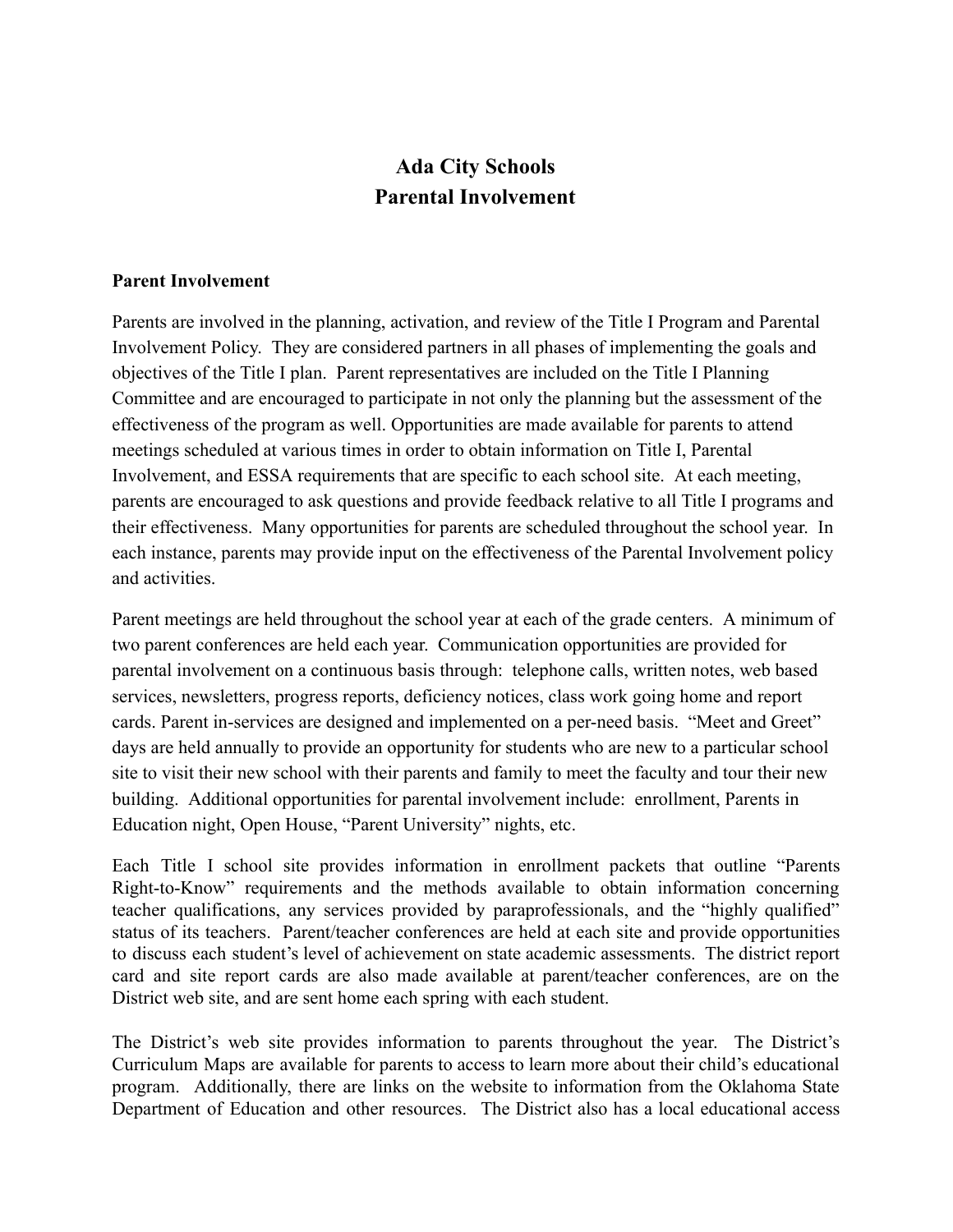## **Ada City Schools Parental Involvement**

## **Parent Involvement**

Parents are involved in the planning, activation, and review of the Title I Program and Parental Involvement Policy. They are considered partners in all phases of implementing the goals and objectives of the Title I plan. Parent representatives are included on the Title I Planning Committee and are encouraged to participate in not only the planning but the assessment of the effectiveness of the program as well. Opportunities are made available for parents to attend meetings scheduled at various times in order to obtain information on Title I, Parental Involvement, and ESSA requirements that are specific to each school site. At each meeting, parents are encouraged to ask questions and provide feedback relative to all Title I programs and their effectiveness. Many opportunities for parents are scheduled throughout the school year. In each instance, parents may provide input on the effectiveness of the Parental Involvement policy and activities.

 Education night, Open House, "Parent University" nights, etc. Parent meetings are held throughout the school year at each of the grade centers. A minimum of two parent conferences are held each year. Communication opportunities are provided for parental involvement on a continuous basis through: telephone calls, written notes, web based services, newsletters, progress reports, deficiency notices, class work going home and report cards. Parent in-services are designed and implemented on a per-need basis. "Meet and Greet" days are held annually to provide an opportunity for students who are new to a particular school site to visit their new school with their parents and family to meet the faculty and tour their new building. Additional opportunities for parental involvement include: enrollment, Parents in

 Each Title I school site provides information in enrollment packets that outline "Parents Right-to-Know" requirements and the methods available to obtain information concerning teacher qualifications, any services provided by paraprofessionals, and the "highly qualified" status of its teachers. Parent/teacher conferences are held at each site and provide opportunities to discuss each student's level of achievement on state academic assessments. The district report card and site report cards are also made available at parent/teacher conferences, are on the District web site, and are sent home each spring with each student.

 The District's web site provides information to parents throughout the year. The District's Curriculum Maps are available for parents to access to learn more about their child's educational program. Additionally, there are links on the website to information from the Oklahoma State Department of Education and other resources. The District also has a local educational access